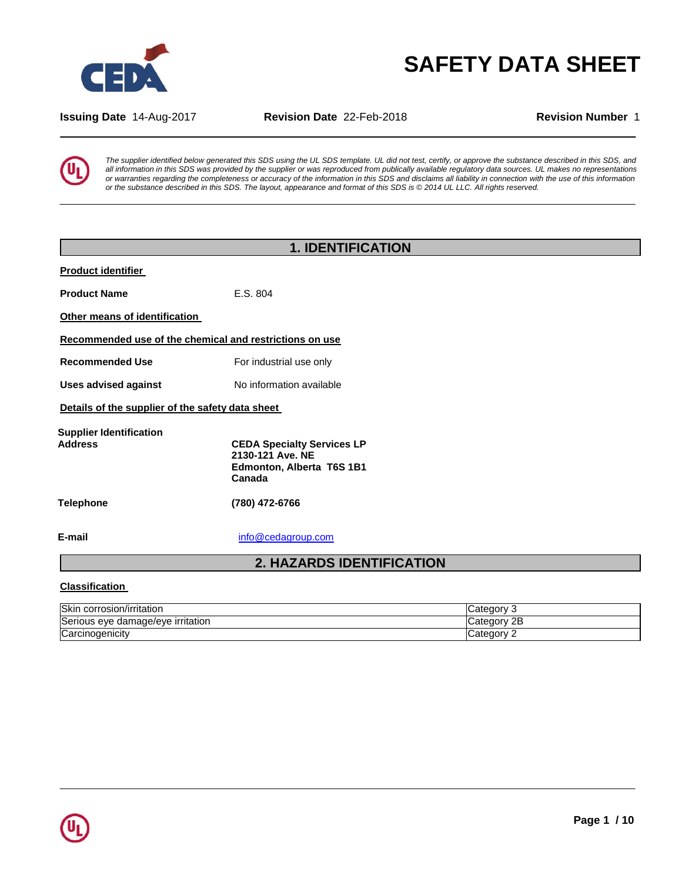

# **SAFETY DATA SHEET**

**Issuing Date** 14-Aug-2017 **Revision Date** 22-Feb-2018 **Revision Number** 1



*The supplier identified below generated this SDS using the UL SDS template. UL did not test, certify, or approve the substance described in this SDS, and all information in this SDS was provided by the supplier or was reproduced from publically available regulatory data sources. UL makes no representations or warranties regarding the completeness or accuracy of the information in this SDS and disclaims all liability in connection with the use of this information or the substance described in this SDS. The layout, appearance and format of this SDS is © 2014 UL LLC. All rights reserved.*

| <b>1. IDENTIFICATION</b>                         |                                                                                              |  |  |  |
|--------------------------------------------------|----------------------------------------------------------------------------------------------|--|--|--|
| <b>Product identifier</b>                        |                                                                                              |  |  |  |
| <b>Product Name</b>                              | E.S. 804                                                                                     |  |  |  |
| Other means of identification                    |                                                                                              |  |  |  |
|                                                  | Recommended use of the chemical and restrictions on use                                      |  |  |  |
| <b>Recommended Use</b>                           | For industrial use only                                                                      |  |  |  |
| <b>Uses advised against</b>                      | No information available                                                                     |  |  |  |
| Details of the supplier of the safety data sheet |                                                                                              |  |  |  |
| <b>Supplier Identification</b><br><b>Address</b> | <b>CEDA Specialty Services LP</b><br>2130-121 Ave. NE<br>Edmonton, Alberta T6S 1B1<br>Canada |  |  |  |
| Telephone                                        | (780) 472-6766                                                                               |  |  |  |
| E-mail                                           | info@cedagroup.com                                                                           |  |  |  |
| <b>2. HAZARDS IDENTIFICATION</b>                 |                                                                                              |  |  |  |
|                                                  |                                                                                              |  |  |  |

### **Classification**

| Skin<br>corrosion/irritation           | Category<br>u                  |
|----------------------------------------|--------------------------------|
| Serious<br>, eve damage/eve irritation | റ⊏<br><b>AOL</b><br>Cate<br>40 |
| Carcinogenicity                        | ∴ategory⊾                      |

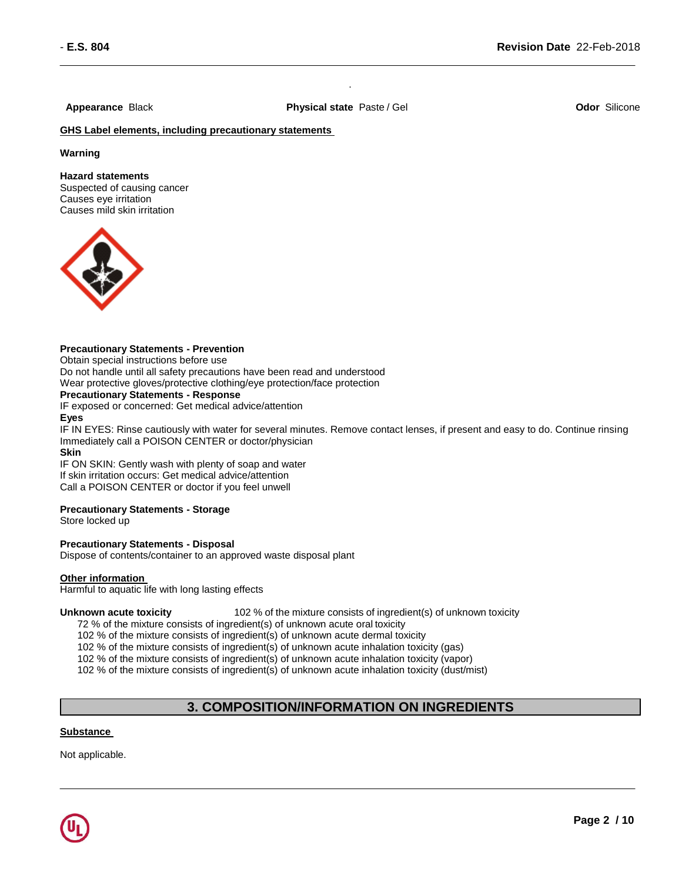**Appearance** Black **Physical state** Paste / Gel **Odor** Silicone

.

**GHS Label elements, including precautionary statements** 

### **Warning**

#### **Hazard statements**

Suspected of causing cancer Causes eye irritation Causes mild skin irritation



### **Precautionary Statements - Prevention**

Obtain special instructions before use

Do not handle until all safety precautions have been read and understood Wear protective gloves/protective clothing/eye protection/face protection

#### **Precautionary Statements - Response**

IF exposed or concerned: Get medical advice/attention

#### **Eyes**

IF IN EYES: Rinse cautiously with water for several minutes. Remove contact lenses, if present and easy to do. Continue rinsing Immediately call a POISON CENTER or doctor/physician

#### **Skin**

IF ON SKIN: Gently wash with plenty of soap and water If skin irritation occurs: Get medical advice/attention Call a POISON CENTER or doctor if you feel unwell

### **Precautionary Statements - Storage**

Store locked up

### **Precautionary Statements - Disposal**

Dispose of contents/container to an approved waste disposal plant

#### **Other information**

Harmful to aquatic life with long lasting effects

**Unknown acute toxicity** 102 % of the mixture consists of ingredient(s) of unknown toxicity

72 % of the mixture consists of ingredient(s) of unknown acute oral toxicity

102 % of the mixture consists of ingredient(s) of unknown acute dermal toxicity

102 % of the mixture consists of ingredient(s) of unknown acute inhalation toxicity (gas)

102 % of the mixture consists of ingredient(s) of unknown acute inhalation toxicity (vapor)

102 % of the mixture consists of ingredient(s) of unknown acute inhalation toxicity (dust/mist)

### **3. COMPOSITION/INFORMATION ON INGREDIENTS**

### **Substance**

Not applicable.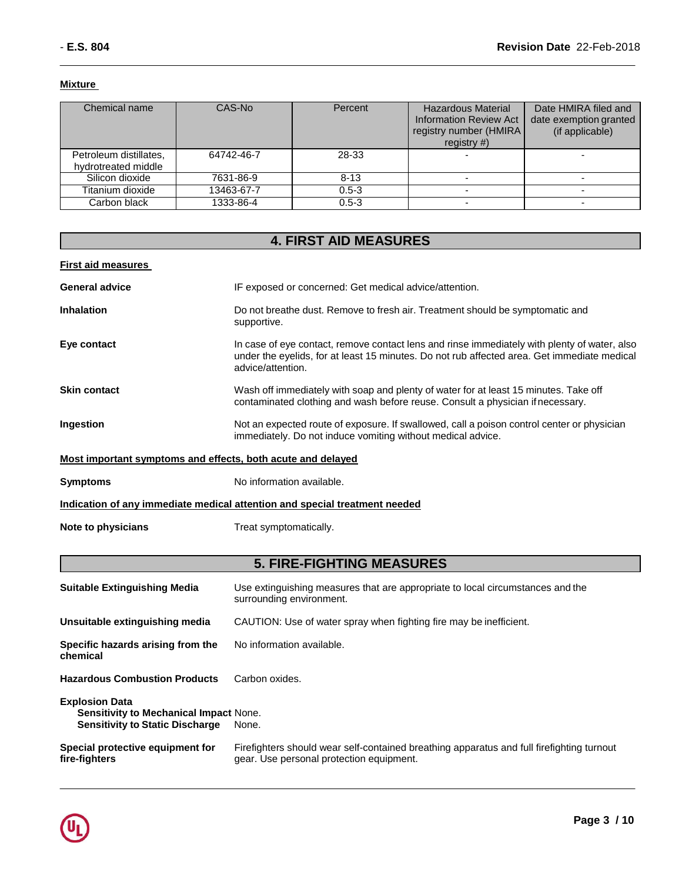### **Mixture**

| Chemical name                                 | CAS-No     | Percent   | <b>Hazardous Material</b><br><b>Information Review Act</b><br>registry number (HMIRA<br>registry $#$ ) | Date HMIRA filed and<br>date exemption granted<br>(if applicable) |
|-----------------------------------------------|------------|-----------|--------------------------------------------------------------------------------------------------------|-------------------------------------------------------------------|
| Petroleum distillates,<br>hydrotreated middle | 64742-46-7 | 28-33     |                                                                                                        |                                                                   |
| Silicon dioxide                               | 7631-86-9  | $8 - 13$  |                                                                                                        |                                                                   |
| Titanium dioxide                              | 13463-67-7 | $0.5 - 3$ |                                                                                                        |                                                                   |
| Carbon black                                  | 1333-86-4  | $0.5 - 3$ |                                                                                                        |                                                                   |

| <b>4. FIRST AID MEASURES</b>                                       |                                                                                                                                                                                                                  |  |  |  |  |
|--------------------------------------------------------------------|------------------------------------------------------------------------------------------------------------------------------------------------------------------------------------------------------------------|--|--|--|--|
| <b>First aid measures</b>                                          |                                                                                                                                                                                                                  |  |  |  |  |
| <b>General advice</b>                                              | IF exposed or concerned: Get medical advice/attention.                                                                                                                                                           |  |  |  |  |
| Inhalation                                                         | Do not breathe dust. Remove to fresh air. Treatment should be symptomatic and<br>supportive.                                                                                                                     |  |  |  |  |
| Eye contact                                                        | In case of eye contact, remove contact lens and rinse immediately with plenty of water, also<br>under the eyelids, for at least 15 minutes. Do not rub affected area. Get immediate medical<br>advice/attention. |  |  |  |  |
| <b>Skin contact</b>                                                | Wash off immediately with soap and plenty of water for at least 15 minutes. Take off<br>contaminated clothing and wash before reuse. Consult a physician if necessary.                                           |  |  |  |  |
| Ingestion                                                          | Not an expected route of exposure. If swallowed, call a poison control center or physician<br>immediately. Do not induce vomiting without medical advice.                                                        |  |  |  |  |
| <u>Most important symptoms and effects, both acute and delayed</u> |                                                                                                                                                                                                                  |  |  |  |  |
| <b>Symptoms</b>                                                    | No information available.                                                                                                                                                                                        |  |  |  |  |
|                                                                    | Indication of any immediate medical attention and special treatment needed                                                                                                                                       |  |  |  |  |
| Note to physicians                                                 | Treat symptomatically.                                                                                                                                                                                           |  |  |  |  |
|                                                                    |                                                                                                                                                                                                                  |  |  |  |  |

## **5. FIRE-FIGHTING MEASURES**

| Use extinguishing measures that are appropriate to local circumstances and the<br>surrounding environment.                            |
|---------------------------------------------------------------------------------------------------------------------------------------|
| CAUTION: Use of water spray when fighting fire may be inefficient.                                                                    |
| No information available.                                                                                                             |
| Carbon oxides.                                                                                                                        |
| <b>Sensitivity to Mechanical Impact None.</b><br>None.                                                                                |
| Firefighters should wear self-contained breathing apparatus and full firefighting turnout<br>gear. Use personal protection equipment. |
|                                                                                                                                       |

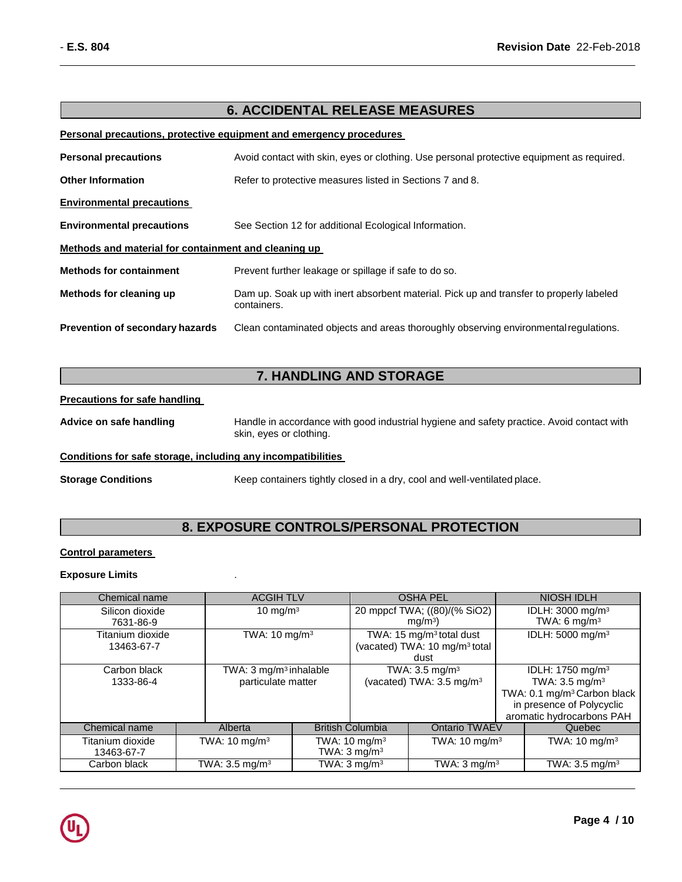### **6. ACCIDENTAL RELEASE MEASURES**

### **Personal precautions, protective equipment and emergency procedures**

| <b>Personal precautions</b>                          | Avoid contact with skin, eyes or clothing. Use personal protective equipment as required.              |  |  |
|------------------------------------------------------|--------------------------------------------------------------------------------------------------------|--|--|
| <b>Other Information</b>                             | Refer to protective measures listed in Sections 7 and 8.                                               |  |  |
| <b>Environmental precautions</b>                     |                                                                                                        |  |  |
| <b>Environmental precautions</b>                     | See Section 12 for additional Ecological Information.                                                  |  |  |
| Methods and material for containment and cleaning up |                                                                                                        |  |  |
| <b>Methods for containment</b>                       | Prevent further leakage or spillage if safe to do so.                                                  |  |  |
| Methods for cleaning up                              | Dam up. Soak up with inert absorbent material. Pick up and transfer to properly labeled<br>containers. |  |  |
| <b>Prevention of secondary hazards</b>               | Clean contaminated objects and areas thoroughly observing environmental regulations.                   |  |  |

### **7. HANDLING AND STORAGE**

### **Precautions for safe handling**

Advice on safe handling **Handle in accordance with good industrial hygiene and safety practice. Avoid contact with** skin, eyes or clothing.

### **Conditions for safe storage, including any incompatibilities**

**Storage Conditions** Keep containers tightly closed in a dry, cool and well-ventilated place.

### **8. EXPOSURE CONTROLS/PERSONAL PROTECTION**

#### **Control parameters**

### **Exposure Limits** .

| Chemical name                  | <b>ACGIH TLV</b>                                         |                                                                                           |                         | <b>OSHA PEL</b>                                                    |  | <b>NIOSH IDLH</b>                                                                                    |                              |
|--------------------------------|----------------------------------------------------------|-------------------------------------------------------------------------------------------|-------------------------|--------------------------------------------------------------------|--|------------------------------------------------------------------------------------------------------|------------------------------|
| Silicon dioxide<br>7631-86-9   |                                                          | 10 mg/m $3$                                                                               |                         | 20 mppcf TWA; ((80)/(% SiO2)<br>mq/m <sup>3</sup>                  |  | IDLH: 3000 mg/m <sup>3</sup><br>TWA: 6 mg/m <sup>3</sup>                                             |                              |
| Titanium dioxide<br>13463-67-7 |                                                          | TWA: 15 mg/m <sup>3</sup> total dust<br>(vacated) TWA: 10 mg/m <sup>3</sup> total<br>dust |                         | TWA: $10 \text{ mg/m}^3$                                           |  |                                                                                                      | IDLH: 5000 mg/m <sup>3</sup> |
| Carbon black<br>1333-86-4      | TWA: 3 mg/m <sup>3</sup> inhalable<br>particulate matter |                                                                                           |                         | TWA: 3.5 mg/m <sup>3</sup><br>(vacated) TWA: 3.5 mg/m <sup>3</sup> |  | IDLH: 1750 mg/m <sup>3</sup><br>TWA: $3.5 \text{ mg/m}^3$<br>TWA: 0.1 mg/m <sup>3</sup> Carbon black |                              |
|                                |                                                          |                                                                                           |                         |                                                                    |  | in presence of Polycyclic<br>aromatic hydrocarbons PAH                                               |                              |
| Chemical name                  | Alberta                                                  |                                                                                           | <b>British Columbia</b> | <b>Ontario TWAEV</b>                                               |  | Quebec                                                                                               |                              |
| Titanium dioxide<br>13463-67-7 | TWA: $10 \text{ mg/m}^3$                                 | TWA: 10 mg/m <sup>3</sup><br>TWA: $3 \text{ mg/m}^3$                                      |                         | TWA: $10 \text{ mg/m}^3$                                           |  | TWA: 10 mg/m <sup>3</sup>                                                                            |                              |
| Carbon black                   | TWA: $3.5 \text{ mg/m}^3$                                |                                                                                           | TWA: $3 \text{ mg/m}^3$ | TWA: $3 \text{ mg/m}^3$                                            |  | $\overline{\text{TWA}}$ : 3.5 mg/m <sup>3</sup>                                                      |                              |

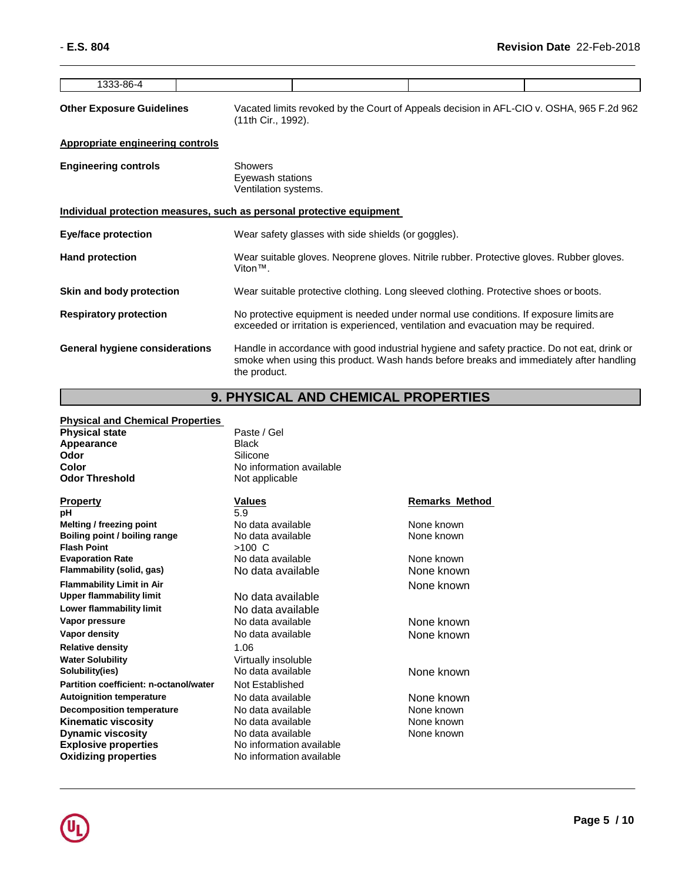| 1333-86-4                                                             |                |                                                                                                                |  |                                                                                                                                                                             |                                                                                                                                                                                       |
|-----------------------------------------------------------------------|----------------|----------------------------------------------------------------------------------------------------------------|--|-----------------------------------------------------------------------------------------------------------------------------------------------------------------------------|---------------------------------------------------------------------------------------------------------------------------------------------------------------------------------------|
| <b>Other Exposure Guidelines</b>                                      |                | Vacated limits revoked by the Court of Appeals decision in AFL-CIO v. OSHA, 965 F.2d 962<br>(11th Cir., 1992). |  |                                                                                                                                                                             |                                                                                                                                                                                       |
| <b>Appropriate engineering controls</b>                               |                |                                                                                                                |  |                                                                                                                                                                             |                                                                                                                                                                                       |
| <b>Engineering controls</b>                                           | <b>Showers</b> | Eyewash stations<br>Ventilation systems.                                                                       |  |                                                                                                                                                                             |                                                                                                                                                                                       |
| Individual protection measures, such as personal protective equipment |                |                                                                                                                |  |                                                                                                                                                                             |                                                                                                                                                                                       |
| Eye/face protection                                                   |                | Wear safety glasses with side shields (or goggles).                                                            |  |                                                                                                                                                                             |                                                                                                                                                                                       |
| <b>Hand protection</b>                                                |                | Wear suitable gloves. Neoprene gloves. Nitrile rubber. Protective gloves. Rubber gloves.<br>$V$ iton™.         |  |                                                                                                                                                                             |                                                                                                                                                                                       |
| Skin and body protection                                              |                |                                                                                                                |  | Wear suitable protective clothing. Long sleeved clothing. Protective shoes or boots.                                                                                        |                                                                                                                                                                                       |
| <b>Respiratory protection</b>                                         |                |                                                                                                                |  | No protective equipment is needed under normal use conditions. If exposure limits are<br>exceeded or irritation is experienced, ventilation and evacuation may be required. |                                                                                                                                                                                       |
| <b>General hygiene considerations</b>                                 | the product.   |                                                                                                                |  |                                                                                                                                                                             | Handle in accordance with good industrial hygiene and safety practice. Do not eat, drink or<br>smoke when using this product. Wash hands before breaks and immediately after handling |

## **9. PHYSICAL AND CHEMICAL PROPERTIES**

| <b>Physical and Chemical Properties</b>             |                                         |                       |
|-----------------------------------------------------|-----------------------------------------|-----------------------|
| <b>Physical state</b>                               | Paste / Gel                             |                       |
| Appearance                                          | <b>Black</b>                            |                       |
| Odor                                                | Silicone                                |                       |
| Color                                               | No information available                |                       |
| <b>Odor Threshold</b>                               | Not applicable                          |                       |
| Property                                            | <b>Values</b>                           | <b>Remarks Method</b> |
| pН                                                  | 5.9                                     |                       |
| Melting / freezing point                            | No data available                       | None known            |
| Boiling point / boiling range<br><b>Flash Point</b> | No data available<br>$>100 \, \text{C}$ | None known            |
| <b>Evaporation Rate</b>                             | No data available                       | None known            |
| Flammability (solid, gas)                           | No data available                       | None known            |
| <b>Flammability Limit in Air</b>                    |                                         | None known            |
| <b>Upper flammability limit</b>                     | No data available                       |                       |
| Lower flammability limit                            | No data available                       |                       |
| Vapor pressure                                      | No data available                       | None known            |
| Vapor density                                       | No data available                       | None known            |
| Relative density                                    | 1.06                                    |                       |
| Water Solubility                                    | Virtually insoluble                     |                       |
| Solubility(ies)                                     | No data available                       | None known            |
| Partition coefficient: n-octanol/water              | Not Established                         |                       |
| <b>Autoignition temperature</b>                     | No data available                       | None known            |
| <b>Decomposition temperature</b>                    | No data available                       | None known            |
| Kinematic viscosity                                 | No data available                       | None known            |
| <b>Dynamic viscosity</b>                            | No data available                       | None known            |
| <b>Explosive properties</b>                         | No information available                |                       |
| Oxidizing properties                                | No information available                |                       |

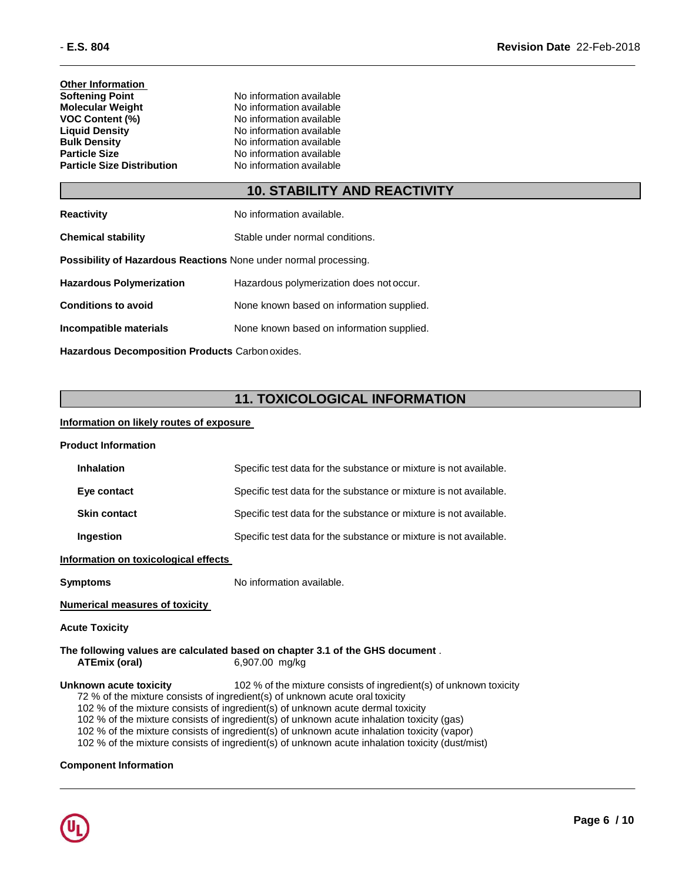**Other Information**<br>**Softening Point Softening Point**<br> **Molecular Weight**<br> **Molecular Weight**<br> **Molecular Weight**<br> **Molecular Weight Molecular Weight** No information available<br> **VOC Content (%)** No information available **VOC Content (%)**<br>
Liquid Density<br>
No information available<br>
No information available **Liquid Density**<br> **Bulk Density**<br> **Bulk Density**<br> **No information available Bulk Density**<br> **Particle Size**<br> **Particle Size**<br> **No information available Particle Size Distribution** 

**No information available**<br>**No information available** 

### **10. STABILITY AND REACTIVITY**

| <b>Reactivity</b>                                                       | No information available.                 |
|-------------------------------------------------------------------------|-------------------------------------------|
| <b>Chemical stability</b>                                               | Stable under normal conditions.           |
| <b>Possibility of Hazardous Reactions None under normal processing.</b> |                                           |
| <b>Hazardous Polymerization</b>                                         | Hazardous polymerization does not occur.  |
| <b>Conditions to avoid</b>                                              | None known based on information supplied. |
| Incompatible materials                                                  | None known based on information supplied. |
|                                                                         |                                           |

**Hazardous Decomposition Products** Carbon oxides.

### **11. TOXICOLOGICAL INFORMATION**

### **Information on likely routes of exposure**

| <b>Product Information</b>                                                                                                                                                                                                                                                                                                                                                                                                                                                                                                                                     |                                                                                                 |  |  |
|----------------------------------------------------------------------------------------------------------------------------------------------------------------------------------------------------------------------------------------------------------------------------------------------------------------------------------------------------------------------------------------------------------------------------------------------------------------------------------------------------------------------------------------------------------------|-------------------------------------------------------------------------------------------------|--|--|
| <b>Inhalation</b>                                                                                                                                                                                                                                                                                                                                                                                                                                                                                                                                              | Specific test data for the substance or mixture is not available.                               |  |  |
| Eye contact                                                                                                                                                                                                                                                                                                                                                                                                                                                                                                                                                    | Specific test data for the substance or mixture is not available.                               |  |  |
| <b>Skin contact</b>                                                                                                                                                                                                                                                                                                                                                                                                                                                                                                                                            | Specific test data for the substance or mixture is not available.                               |  |  |
| Ingestion                                                                                                                                                                                                                                                                                                                                                                                                                                                                                                                                                      | Specific test data for the substance or mixture is not available.                               |  |  |
| Information on toxicological effects                                                                                                                                                                                                                                                                                                                                                                                                                                                                                                                           |                                                                                                 |  |  |
| <b>Symptoms</b>                                                                                                                                                                                                                                                                                                                                                                                                                                                                                                                                                | No information available.                                                                       |  |  |
| <b>Numerical measures of toxicity</b>                                                                                                                                                                                                                                                                                                                                                                                                                                                                                                                          |                                                                                                 |  |  |
| <b>Acute Toxicity</b>                                                                                                                                                                                                                                                                                                                                                                                                                                                                                                                                          |                                                                                                 |  |  |
| <b>ATEmix (oral)</b>                                                                                                                                                                                                                                                                                                                                                                                                                                                                                                                                           | The following values are calculated based on chapter 3.1 of the GHS document.<br>6,907.00 mg/kg |  |  |
| Unknown acute toxicity<br>102 % of the mixture consists of ingredient(s) of unknown toxicity<br>72 % of the mixture consists of ingredient(s) of unknown acute oral toxicity<br>102 % of the mixture consists of ingredient(s) of unknown acute dermal toxicity<br>102 % of the mixture consists of ingredient(s) of unknown acute inhalation toxicity (gas)<br>102 % of the mixture consists of ingredient(s) of unknown acute inhalation toxicity (vapor)<br>102 % of the mixture consists of ingredient(s) of unknown acute inhalation toxicity (dust/mist) |                                                                                                 |  |  |
| <b>Component Information</b>                                                                                                                                                                                                                                                                                                                                                                                                                                                                                                                                   |                                                                                                 |  |  |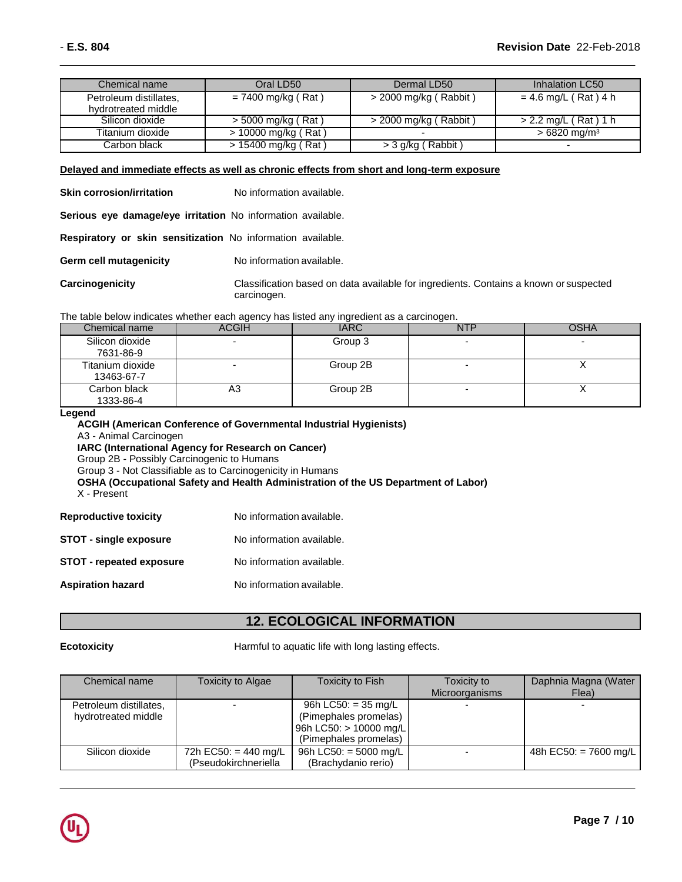| Chemical name                                 | Oral LD50            | Dermal LD50             | Inhalation LC50           |
|-----------------------------------------------|----------------------|-------------------------|---------------------------|
| Petroleum distillates,<br>hydrotreated middle | $= 7400$ mg/kg (Rat) | $>$ 2000 mg/kg (Rabbit) | $= 4.6$ mg/L (Rat) 4 h    |
| Silicon dioxide                               | > 5000 mg/kg (Rat)   | $>$ 2000 mg/kg (Rabbit) | > 2.2 mg/L (Rat) 1 h      |
| Titanium dioxide                              | > 10000 mg/kg (Rat)  |                         | $>6820$ mg/m <sup>3</sup> |
| Carbon black                                  | > 15400 mg/kg (Rat)  | > 3 g/kg (Rabbit)       | -                         |

### **Delayed and immediate effects as well as chronic effects from short and long-term exposure**

**Skin corrosion/irritation** No information available.

**Serious eye damage/eye irritation** No information available.

**Respiratory or skin sensitization** No information available.

**Germ cell mutagenicity** No information available.

**Carcinogenicity** Classification based on data available for ingredients. Contains a known or suspected carcinogen.

The table below indicates whether each agency has listed any ingredient as a carcinogen.

| Chemical name                  | ACGIH | <b>IARC</b> | NTP                      | OSHA |
|--------------------------------|-------|-------------|--------------------------|------|
| Silicon dioxide<br>7631-86-9   | -     | Group 3     | $\overline{\phantom{0}}$ |      |
| Titanium dioxide<br>13463-67-7 |       | Group 2B    |                          |      |
| Carbon black<br>1333-86-4      | A3    | Group 2B    | $\overline{\phantom{0}}$ |      |

### **Legend**

| <b>Legena</b><br>ACGIH (American Conference of Governmental Industrial Hygienists)<br>A3 - Animal Carcinogen<br><b>IARC (International Agency for Research on Cancer)</b><br>Group 2B - Possibly Carcinogenic to Humans<br>Group 3 - Not Classifiable as to Carcinogenicity in Humans<br>OSHA (Occupational Safety and Health Administration of the US Department of Labor)<br>X - Present |                           |  |  |  |
|--------------------------------------------------------------------------------------------------------------------------------------------------------------------------------------------------------------------------------------------------------------------------------------------------------------------------------------------------------------------------------------------|---------------------------|--|--|--|
| <b>Reproductive toxicity</b>                                                                                                                                                                                                                                                                                                                                                               | No information available. |  |  |  |
| <b>STOT - single exposure</b>                                                                                                                                                                                                                                                                                                                                                              | No information available. |  |  |  |
| <b>STOT - repeated exposure</b>                                                                                                                                                                                                                                                                                                                                                            | No information available. |  |  |  |
|                                                                                                                                                                                                                                                                                                                                                                                            |                           |  |  |  |

**Aspiration hazard** No information available.

### **12. ECOLOGICAL INFORMATION**

**Ecotoxicity Example 20** Harmful to aquatic life with long lasting effects.

| Chemical name          | <b>Toxicity to Algae</b> | <b>Toxicity to Fish</b> | Toxicity to<br>Microorganisms | Daphnia Magna (Water<br>Flea) |
|------------------------|--------------------------|-------------------------|-------------------------------|-------------------------------|
|                        |                          |                         |                               |                               |
| Petroleum distillates, |                          | 96h LC50: $=$ 35 mg/L   |                               |                               |
| hydrotreated middle    |                          | (Pimephales promelas)   |                               |                               |
|                        |                          | 96h LC50: > 10000 mg/L  |                               |                               |
|                        |                          | (Pimephales promelas)   |                               |                               |
| Silicon dioxide        | 72h EC50: = 440 mg/L     | 96h LC50: $=$ 5000 mg/L |                               | 48h EC50: = 7600 mg/L         |
|                        | (Pseudokirchneriella     | (Brachydanio rerio)     |                               |                               |

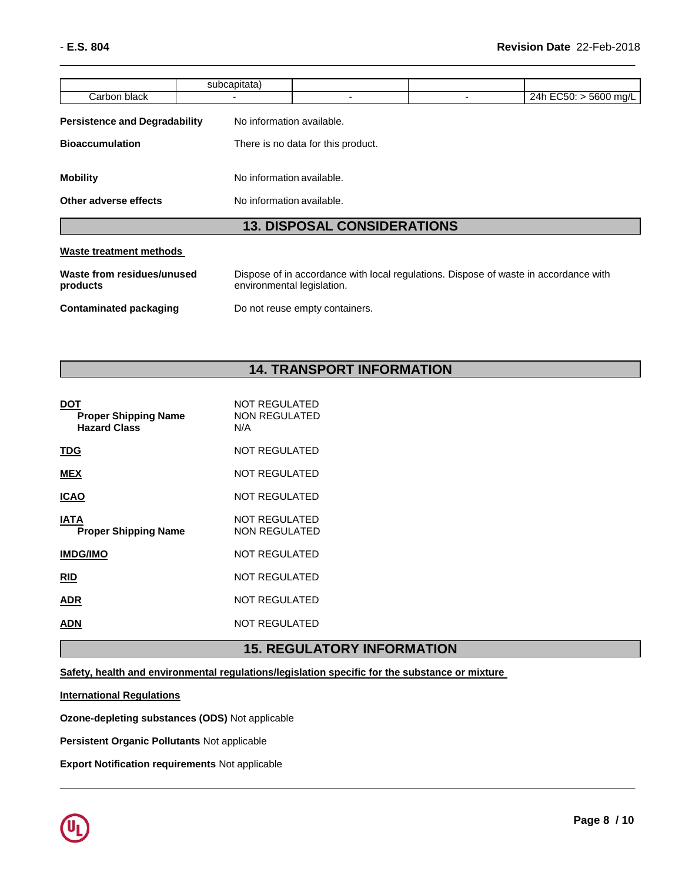|                                      |                          | <b>13. DISPOSAL CONSIDERATIONS</b> |  |                       |  |  |
|--------------------------------------|--------------------------|------------------------------------|--|-----------------------|--|--|
| Other adverse effects                |                          | No information available.          |  |                       |  |  |
| <b>Mobility</b>                      |                          | No information available.          |  |                       |  |  |
| <b>Bioaccumulation</b>               |                          | There is no data for this product. |  |                       |  |  |
| <b>Persistence and Degradability</b> |                          | No information available.          |  |                       |  |  |
| Carbon black                         | $\overline{\phantom{0}}$ | -                                  |  | 24h EC50: > 5600 mg/L |  |  |
|                                      | subcapitata)             |                                    |  |                       |  |  |

### **13. DISPOSAL CONSIDERATIONS**

### **Waste treatment methods**

| Waste from residues/unused | Dispose of in accordance with local regulations. Dispose of waste in accordance with |
|----------------------------|--------------------------------------------------------------------------------------|
| products                   | environmental legislation.                                                           |
| Contaminated packaging     | Do not reuse empty containers.                                                       |

### **14. TRANSPORT INFORMATION**

| DOT<br><b>Proper Shipping Name</b><br><b>Hazard Class</b> | <b>NOT REGULATED</b><br><b>NON REGULATED</b><br>N/A |
|-----------------------------------------------------------|-----------------------------------------------------|
| TDG                                                       | NOT REGULATED                                       |
| <b>MEX</b>                                                | <b>NOT REGULATED</b>                                |
| <b>ICAO</b>                                               | <b>NOT REGULATED</b>                                |
| IATA<br><b>Proper Shipping Name</b>                       | <b>NOT REGULATED</b><br><b>NON REGULATED</b>        |
| <b>IMDG/IMO</b>                                           | <b>NOT REGULATED</b>                                |
| <b>RID</b>                                                | <b>NOT REGULATED</b>                                |
| ADR                                                       | <b>NOT REGULATED</b>                                |
| ADN                                                       | <b>NOT REGULATED</b>                                |
|                                                           |                                                     |

## **15. REGULATORY INFORMATION**

**Safety, health and environmental regulations/legislation specific for the substance or mixture** 

**International Regulations**

**Ozone-depleting substances (ODS)** Not applicable

**Persistent Organic Pollutants** Not applicable

**Export Notification requirements** Not applicable

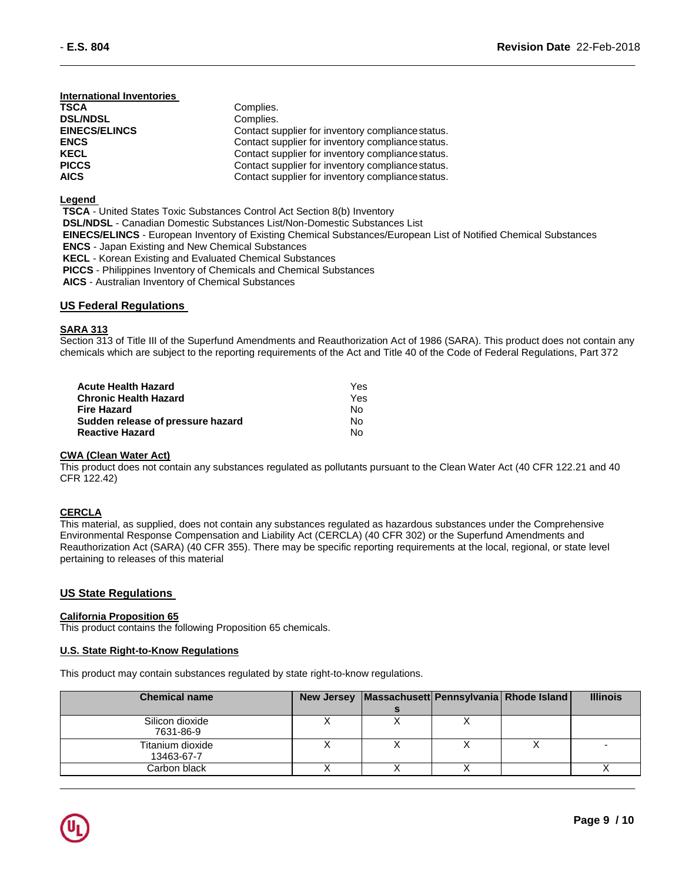### **International Inventories**

| TSCA                 | Complies.                                         |
|----------------------|---------------------------------------------------|
| <b>DSL/NDSL</b>      | Complies.                                         |
| <b>EINECS/ELINCS</b> | Contact supplier for inventory compliance status. |
| <b>ENCS</b>          | Contact supplier for inventory compliance status. |
| KECL                 | Contact supplier for inventory compliance status. |
| PICCS                | Contact supplier for inventory compliance status. |
| AICS                 | Contact supplier for inventory compliance status. |

### **Legend**

**TSCA** - United States Toxic Substances Control Act Section 8(b) Inventory **DSL/NDSL** - Canadian Domestic Substances List/Non-Domestic Substances List **EINECS/ELINCS** - European Inventory of Existing Chemical Substances/European List of Notified Chemical Substances **ENCS** - Japan Existing and New Chemical Substances **KECL** - Korean Existing and Evaluated Chemical Substances **PICCS** - Philippines Inventory of Chemicals and Chemical Substances **AICS** - Australian Inventory of Chemical Substances

### **US Federal Regulations**

### **SARA 313**

Section 313 of Title III of the Superfund Amendments and Reauthorization Act of 1986 (SARA). This product does not contain any chemicals which are subject to the reporting requirements of the Act and Title 40 of the Code of Federal Regulations, Part 372

| Acute Health Hazard               | Yes. |
|-----------------------------------|------|
| <b>Chronic Health Hazard</b>      | Yes. |
| Fire Hazard                       | No.  |
| Sudden release of pressure hazard | No.  |
| <b>Reactive Hazard</b>            | N٥   |

#### **CWA (Clean Water Act)**

This product does not contain any substances regulated as pollutants pursuant to the Clean Water Act (40 CFR 122.21 and 40 CFR 122.42)

### **CERCLA**

This material, as supplied, does not contain any substances regulated as hazardous substances under the Comprehensive Environmental Response Compensation and Liability Act (CERCLA) (40 CFR 302) or the Superfund Amendments and Reauthorization Act (SARA) (40 CFR 355). There may be specific reporting requirements at the local, regional, or state level pertaining to releases of this material

### **US State Regulations**

#### **California Proposition 65**

This product contains the following Proposition 65 chemicals.

### **U.S. State Right-to-Know Regulations**

This product may contain substances regulated by state right-to-know regulations.

| <b>Chemical name</b>           | <b>New Jersey</b> | Massachusett  Pennsylvania   Rhode Island |  | <b>Illinois</b> |
|--------------------------------|-------------------|-------------------------------------------|--|-----------------|
|                                |                   |                                           |  |                 |
| Silicon dioxide<br>7631-86-9   |                   |                                           |  |                 |
| Titanium dioxide<br>13463-67-7 |                   |                                           |  |                 |
| Carbon black                   |                   |                                           |  |                 |